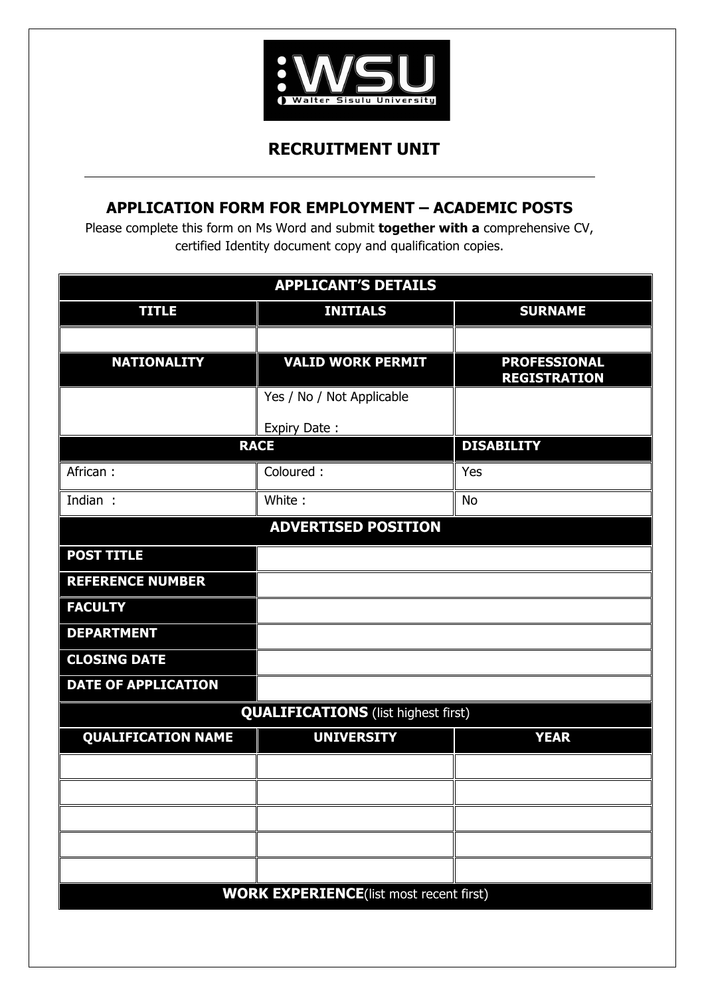

## **RECRUITMENT UNIT**

## **APPLICATION FORM FOR EMPLOYMENT – ACADEMIC POSTS**

Please complete this form on Ms Word and submit **together with a** comprehensive CV, certified Identity document copy and qualification copies.

| <b>APPLICANT'S DETAILS</b>                     |                           |                                            |  |  |
|------------------------------------------------|---------------------------|--------------------------------------------|--|--|
| <b>TITLE</b>                                   | <b>INITIALS</b>           | <b>SURNAME</b>                             |  |  |
|                                                |                           |                                            |  |  |
| <b>NATIONALITY</b>                             | <b>VALID WORK PERMIT</b>  | <b>PROFESSIONAL</b><br><b>REGISTRATION</b> |  |  |
|                                                | Yes / No / Not Applicable |                                            |  |  |
|                                                | Expiry Date:              |                                            |  |  |
|                                                | <b>RACE</b>               | <b>DISABILITY</b>                          |  |  |
| African:                                       | Coloured:                 | Yes                                        |  |  |
| Indian :                                       | White:                    | <b>No</b>                                  |  |  |
| <b>ADVERTISED POSITION</b>                     |                           |                                            |  |  |
| <b>POST TITLE</b>                              |                           |                                            |  |  |
| <b>REFERENCE NUMBER</b>                        |                           |                                            |  |  |
| <b>FACULTY</b>                                 |                           |                                            |  |  |
| <b>DEPARTMENT</b>                              |                           |                                            |  |  |
| <b>CLOSING DATE</b>                            |                           |                                            |  |  |
| <b>DATE OF APPLICATION</b>                     |                           |                                            |  |  |
| <b>QUALIFICATIONS</b> (list highest first)     |                           |                                            |  |  |
| <b>QUALIFICATION NAME</b>                      | <b>UNIVERSITY</b>         | <b>YEAR</b>                                |  |  |
|                                                |                           |                                            |  |  |
|                                                |                           |                                            |  |  |
|                                                |                           |                                            |  |  |
|                                                |                           |                                            |  |  |
|                                                |                           |                                            |  |  |
| <b>WORK EXPERIENCE(list most recent first)</b> |                           |                                            |  |  |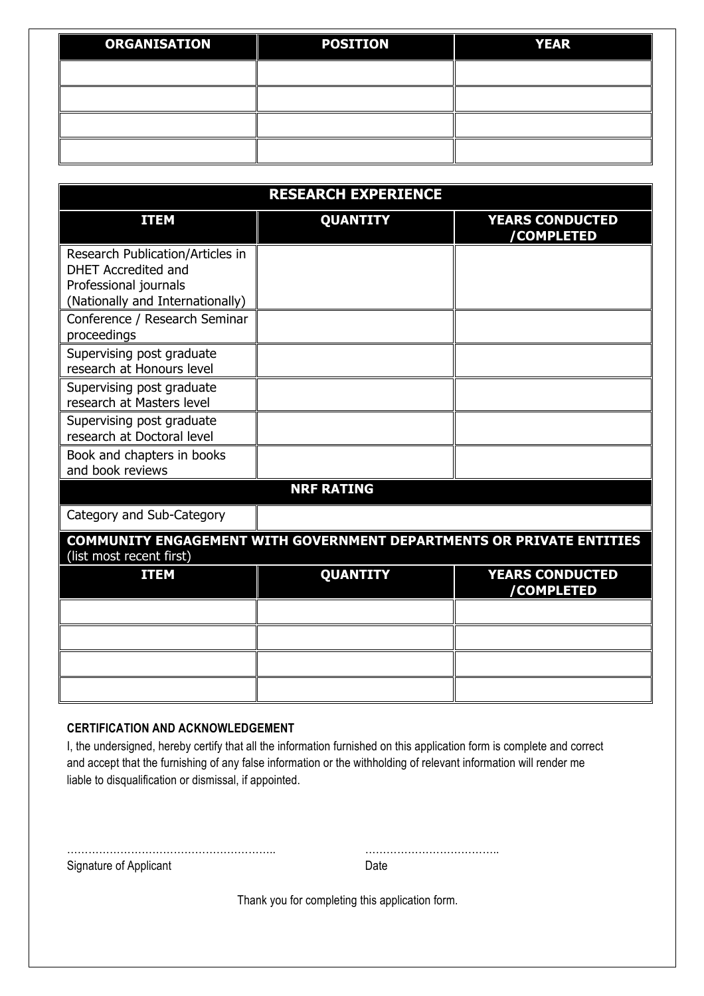| <b>ORGANISATION</b> | <b>POSITION</b> | <b>YEAR</b> |
|---------------------|-----------------|-------------|
|                     |                 |             |
|                     |                 |             |
|                     |                 |             |
|                     |                 |             |

| <b>RESEARCH EXPERIENCE</b>                                                                                                  |                 |                                             |  |  |
|-----------------------------------------------------------------------------------------------------------------------------|-----------------|---------------------------------------------|--|--|
| <b>ITEM</b>                                                                                                                 | <b>QUANTITY</b> | <b>YEARS CONDUCTED</b><br>/COMPLETED        |  |  |
| Research Publication/Articles in<br><b>DHET Accredited and</b><br>Professional journals<br>(Nationally and Internationally) |                 |                                             |  |  |
| Conference / Research Seminar<br>proceedings                                                                                |                 |                                             |  |  |
| Supervising post graduate<br>research at Honours level                                                                      |                 |                                             |  |  |
| Supervising post graduate<br>research at Masters level                                                                      |                 |                                             |  |  |
| Supervising post graduate<br>research at Doctoral level                                                                     |                 |                                             |  |  |
| Book and chapters in books<br>and book reviews                                                                              |                 |                                             |  |  |
| <b>NRF RATING</b>                                                                                                           |                 |                                             |  |  |
| Category and Sub-Category                                                                                                   |                 |                                             |  |  |
| <b>COMMUNITY ENGAGEMENT WITH GOVERNMENT DEPARTMENTS OR PRIVATE ENTITIES</b><br>(list most recent first)                     |                 |                                             |  |  |
| <b>ITEM</b>                                                                                                                 | <b>QUANTITY</b> | <b>YEARS CONDUCTED</b><br><b>/COMPLETED</b> |  |  |
|                                                                                                                             |                 |                                             |  |  |
|                                                                                                                             |                 |                                             |  |  |
|                                                                                                                             |                 |                                             |  |  |
|                                                                                                                             |                 |                                             |  |  |

## **CERTIFICATION AND ACKNOWLEDGEMENT**

I, the undersigned, hereby certify that all the information furnished on this application form is complete and correct and accept that the furnishing of any false information or the withholding of relevant information will render me liable to disqualification or dismissal, if appointed.

Signature of Applicant Date Date

………………………………………………….. ………………………………..

Thank you for completing this application form.